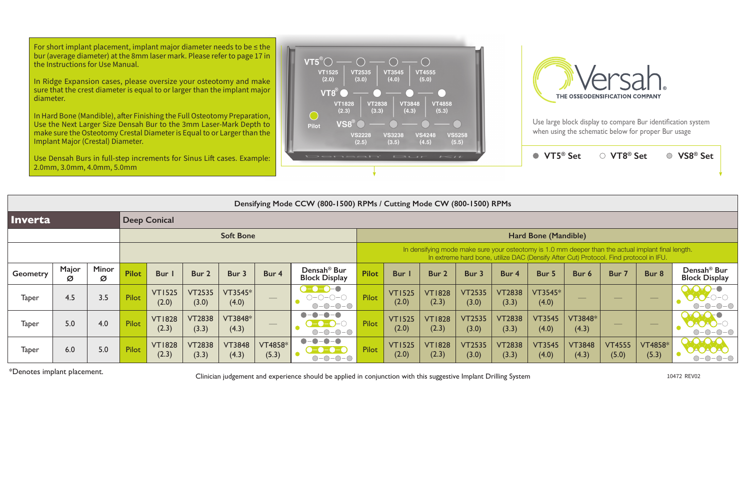Use large block display to compare Bur identification system when using the schematic below for proper Bur usage



For short implant placement, implant major diameter needs to be  $\leq$  the bur (average diameter) at the 8mm laser mark. Please refer to page 17 in the Instructions for Use Manual.

|                 | 2.0mm, 3.0mm, 4.0mm, 5.0mm                                            |                   |                  |                        |                        |                        |                          |                                                                                         |              |                                                                                                                                                                                             |                        |                        |                        |                        |                                |                                |                                   |                                                 |  |  |
|-----------------|-----------------------------------------------------------------------|-------------------|------------------|------------------------|------------------------|------------------------|--------------------------|-----------------------------------------------------------------------------------------|--------------|---------------------------------------------------------------------------------------------------------------------------------------------------------------------------------------------|------------------------|------------------------|------------------------|------------------------|--------------------------------|--------------------------------|-----------------------------------|-------------------------------------------------|--|--|
|                 | Densifying Mode CCW (800-1500) RPMs / Cutting Mode CW (800-1500) RPMs |                   |                  |                        |                        |                        |                          |                                                                                         |              |                                                                                                                                                                                             |                        |                        |                        |                        |                                |                                |                                   |                                                 |  |  |
| <b>Inverta</b>  |                                                                       |                   |                  | <b>Deep Conical</b>    |                        |                        |                          |                                                                                         |              |                                                                                                                                                                                             |                        |                        |                        |                        |                                |                                |                                   |                                                 |  |  |
|                 |                                                                       |                   | <b>Soft Bone</b> |                        |                        |                        |                          |                                                                                         |              | Hard Bone (Mandible)                                                                                                                                                                        |                        |                        |                        |                        |                                |                                |                                   |                                                 |  |  |
|                 |                                                                       |                   |                  |                        |                        |                        |                          |                                                                                         |              | In densifying mode make sure your osteotomy is 1.0 mm deeper than the actual implant final length.<br>In extreme hard bone, utilize DAC (Densify After Cut) Protocol. Find protocol in IFU. |                        |                        |                        |                        |                                |                                |                                   |                                                 |  |  |
| <b>Geometry</b> | Major<br>Ø                                                            | <b>Minor</b><br>Ø | <b>Pilot</b>     | Bur I                  | Bur 2                  | Bur 3                  | Bur 4                    | Densah <sup>®</sup> Bur<br><b>Block Display</b>                                         | <b>Pilot</b> | Bur I                                                                                                                                                                                       | Bur 2                  | Bur 3                  | Bur 4                  | Bur 5                  | Bur 6                          | Bur 7                          | Bur 8                             | Densah <sup>®</sup> Bur<br><b>Block Display</b> |  |  |
| <b>Taper</b>    | 4.5                                                                   | 3.5               | Pilot            | <b>VT1525</b><br>(2.0) | <b>VT2535</b><br>(3.0) | VT3545*<br>(4.0)       | $\hspace{0.05cm}$        | $- - - - -$<br>$O-O-O-O-O$<br>$   \odot$<br>$ \bigcirc$<br>◯-                           | Pilot        | <b>VT1525</b><br>(2.0)                                                                                                                                                                      | <b>VT1828</b><br>(2.3) | <b>VT2535</b><br>(3.0) | <b>VT2838</b><br>(3.3) | VT3545*<br>(4.0)       | $\overbrace{\hspace{25mm}}^{}$ | $\frac{1}{2}$                  | $\overbrace{\phantom{aaaaa}}^{x}$ |                                                 |  |  |
| <b>Taper</b>    | 5.0                                                                   | 4.0               | Pilot            | <b>VT1828</b><br>(2.3) | <b>VT2838</b><br>(3.3) | VT3848*<br>(4.3)       | $\qquad \qquad - \qquad$ | $\bullet$<br>$-O$ -O<br>-0-                                                             | Pilot        | <b>VT1525</b><br>(2.0)                                                                                                                                                                      | <b>VT1828</b><br>(2.3) | <b>VT2535</b><br>(3.0) | <b>VT2838</b><br>(3.3) | <b>VT3545</b><br>(4.0) | VT3848*<br>(4.3)               | $\overbrace{\hspace{25mm}}^{}$ |                                   |                                                 |  |  |
| <b>Taper</b>    | 6.0                                                                   | 5.0               | Pilot            | <b>VT1828</b><br>(2.3) | <b>VT2838</b><br>(3.3) | <b>VT3848</b><br>(4.3) | VT4858*<br>(5.3)         | $\bullet$<br>$-\bigcirc$ -<br>$-\bullet$ - $\bullet$ - (<br>$-\bigcirc$<br>$\bigcirc$ - | Pilot        | <b>VT1525</b><br>(2.0)                                                                                                                                                                      | <b>VT1828</b><br>(2.3) | <b>VT2535</b><br>(3.0) | <b>VT2838</b><br>(3.3) | <b>VT3545</b><br>(4.0) | <b>VT3848</b><br>(4.3)         | <b>VT4555</b><br>(5.0)         | <b>VT4858*</b><br>(5.3)           |                                                 |  |  |

\*Denotes implant placement. Clinician judgement and experience should be applied in conjunction with this suggestive Implant Drilling System 10472 REV0<sup>2</sup>



In Ridge Expansion cases, please oversize your osteotomy and make sure that the crest diameter is equal to or larger than the implant major diameter.

In Hard Bone (Mandible), after Finishing the Full Osteotomy Preparation, Use the Next Larger Size Densah Bur to the 3mm Laser-Mark Depth to make sure the Osteotomy Crestal Diameter is Equal to or Larger than the Implant Major (Crestal) Diameter.

Use Densah Burs in full-step increments for Sinus Lift cases. Example: